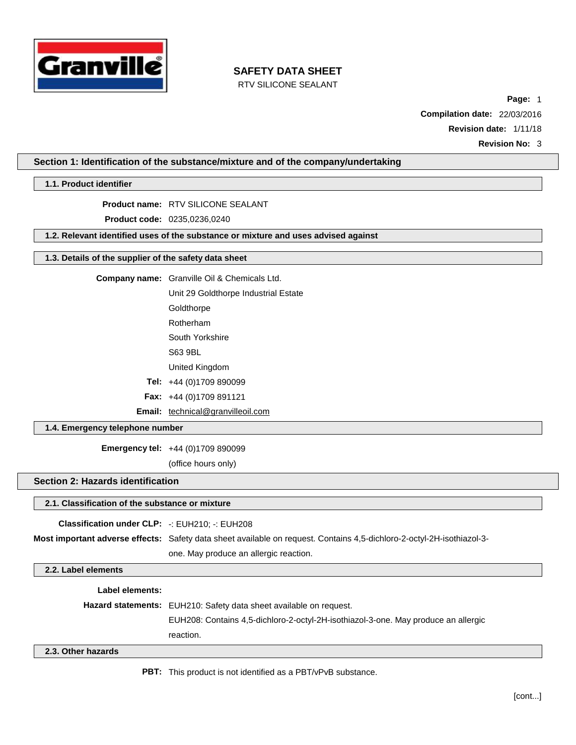

RTV SILICONE SEALANT

**Page:** 1 **Compilation date:** 22/03/2016 **Revision date:** 1/11/18

**Revision No:** 3

**Section 1: Identification of the substance/mixture and of the company/undertaking**

**1.1. Product identifier**

**Product name:** RTV SILICONE SEALANT

**Product code:** 0235,0236,0240

**1.2. Relevant identified uses of the substance or mixture and uses advised against**

#### **1.3. Details of the supplier of the safety data sheet**

| <b>Company name:</b> Granville Oil & Chemicals Ltd. |
|-----------------------------------------------------|
| Unit 29 Goldthorpe Industrial Estate                |
| Goldthorpe                                          |
| Rotherham                                           |

South Yorkshire

S63 9BL

United Kingdom

**Tel:** +44 (0)1709 890099

**Fax:** +44 (0)1709 891121

Email: [technical@granvilleoil.com](mailto:technical@granvilleoil.com)

## **1.4. Emergency telephone number**

**Emergency tel:** +44 (0)1709 890099

(office hours only)

## **Section 2: Hazards identification**

#### **2.1. Classification of the substance or mixture**

| <b>Classification under CLP:</b> $-$ : EUH210: $-$ : EUH208 |                                                                                                                        |
|-------------------------------------------------------------|------------------------------------------------------------------------------------------------------------------------|
|                                                             | Most important adverse effects: Safety data sheet available on request. Contains 4.5-dichloro-2-octyl-2H-isothiazol-3- |
|                                                             | one. May produce an allergic reaction.                                                                                 |

**2.2. Label elements**

**Label elements:**

**Hazard statements:** EUH210: Safety data sheet available on request.

EUH208: Contains 4,5-dichloro-2-octyl-2H-isothiazol-3-one. May produce an allergic reaction.

## **2.3. Other hazards**

**PBT:** This product is not identified as a PBT/vPvB substance.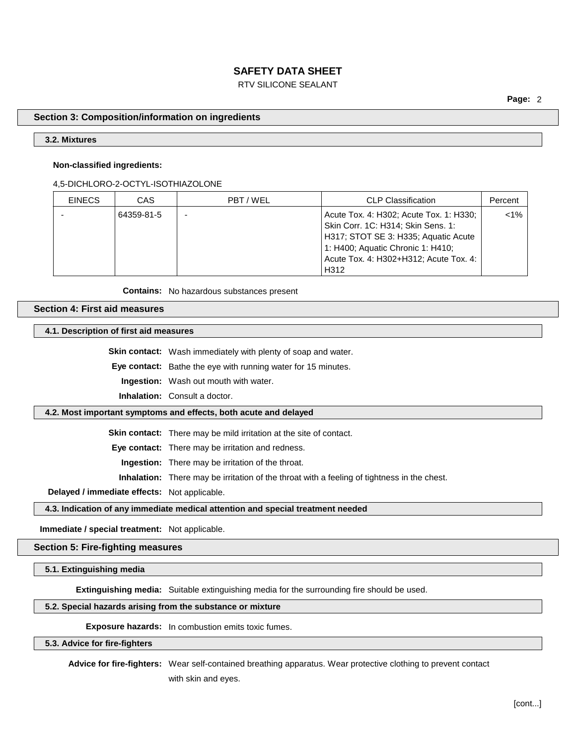## RTV SILICONE SEALANT

**Page:** 2

### **Section 3: Composition/information on ingredients**

## **3.2. Mixtures**

#### **Non-classified ingredients:**

#### 4,5-DICHLORO-2-OCTYL-ISOTHIAZOLONE

| <b>EINECS</b> | <b>CAS</b> | PBT/WEL | <b>CLP Classification</b>               | Percent |
|---------------|------------|---------|-----------------------------------------|---------|
|               | 64359-81-5 |         | Acute Tox. 4: H302; Acute Tox. 1: H330; | $< 1\%$ |
|               |            |         | Skin Corr. 1C: H314; Skin Sens. 1:      |         |
|               |            |         | H317; STOT SE 3: H335; Aquatic Acute    |         |
|               |            |         | 1: H400; Aquatic Chronic 1: H410;       |         |
|               |            |         | Acute Tox. 4: H302+H312; Acute Tox. 4:  |         |
|               |            |         | H312                                    |         |

**Contains:** No hazardous substances present

**Section 4: First aid measures**

**4.1. Description of first aid measures**

**Skin contact:** Wash immediately with plenty of soap and water.

**Eye contact:** Bathe the eye with running water for 15 minutes.

**Ingestion:** Wash out mouth with water.

**Inhalation:** Consult a doctor.

#### **4.2. Most important symptoms and effects, both acute and delayed**

**Skin contact:** There may be mild irritation at the site of contact.

**Eye contact:** There may be irritation and redness.

**Ingestion:** There may be irritation of the throat.

**Inhalation:** There may be irritation of the throat with a feeling of tightness in the chest.

**Delayed / immediate effects:** Not applicable.

#### **4.3. Indication of any immediate medical attention and special treatment needed**

**Immediate / special treatment:** Not applicable.

#### **Section 5: Fire-fighting measures**

**5.1. Extinguishing media**

**Extinguishing media:** Suitable extinguishing media for the surrounding fire should be used.

## **5.2. Special hazards arising from the substance or mixture**

**Exposure hazards:** In combustion emits toxic fumes.

#### **5.3. Advice for fire-fighters**

**Advice for fire-fighters:** Wear self-contained breathing apparatus. Wear protective clothing to prevent contact

with skin and eyes.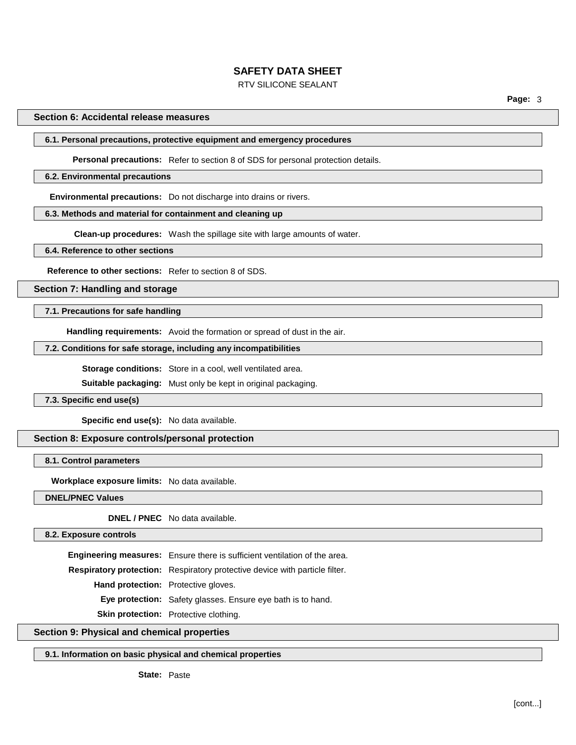## RTV SILICONE SEALANT

**Page:** 3

#### **Section 6: Accidental release measures**

## **6.1. Personal precautions, protective equipment and emergency procedures**

**Personal precautions:** Refer to section 8 of SDS for personal protection details.

#### **6.2. Environmental precautions**

**Environmental precautions:** Do not discharge into drains or rivers.

## **6.3. Methods and material for containment and cleaning up**

**Clean-up procedures:** Wash the spillage site with large amounts of water.

#### **6.4. Reference to other sections**

**Reference to other sections:** Refer to section 8 of SDS.

**Section 7: Handling and storage**

## **7.1. Precautions for safe handling**

**Handling requirements:** Avoid the formation or spread of dust in the air.

## **7.2. Conditions for safe storage, including any incompatibilities**

**Storage conditions:** Store in a cool, well ventilated area.

**Suitable packaging:** Must only be kept in original packaging.

#### **7.3. Specific end use(s)**

**Specific end use(s):** No data available.

## **Section 8: Exposure controls/personal protection**

## **8.1. Control parameters**

**Workplace exposure limits:** No data available.

**DNEL/PNEC Values**

**DNEL / PNEC** No data available.

### **8.2. Exposure controls**

**Engineering measures:** Ensure there is sufficient ventilation of the area. **Respiratory protection:** Respiratory protective device with particle filter. **Hand protection:** Protective gloves. **Eye protection:** Safety glasses. Ensure eye bath is to hand. **Skin protection:** Protective clothing.

## **Section 9: Physical and chemical properties**

### **9.1. Information on basic physical and chemical properties**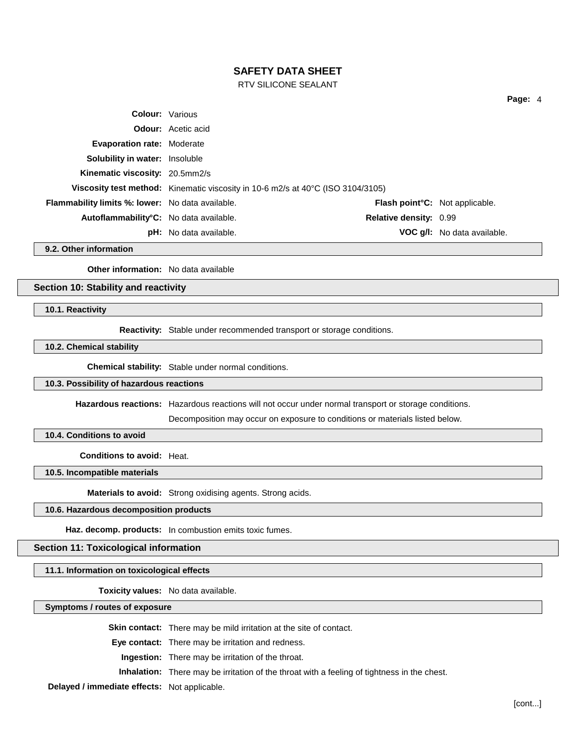RTV SILICONE SEALANT

|                                                         |                                                                                 |                                                  | Page: 4                     |
|---------------------------------------------------------|---------------------------------------------------------------------------------|--------------------------------------------------|-----------------------------|
| <b>Colour: Various</b>                                  |                                                                                 |                                                  |                             |
|                                                         | <b>Odour:</b> Acetic acid                                                       |                                                  |                             |
| <b>Evaporation rate: Moderate</b>                       |                                                                                 |                                                  |                             |
| <b>Solubility in water: Insoluble</b>                   |                                                                                 |                                                  |                             |
| Kinematic viscosity: 20.5mm2/s                          |                                                                                 |                                                  |                             |
|                                                         | Viscosity test method: Kinematic viscosity in 10-6 m2/s at 40°C (ISO 3104/3105) |                                                  |                             |
| <b>Flammability limits %: lower:</b> No data available. |                                                                                 | <b>Flash point<sup>°</sup>C:</b> Not applicable. |                             |
| Autoflammability°C: No data available.                  |                                                                                 | <b>Relative density: 0.99</b>                    |                             |
|                                                         | <b>pH:</b> No data available.                                                   |                                                  | VOC g/l: No data available. |

**9.2. Other information**

**Other information:** No data available

**Section 10: Stability and reactivity**

**10.1. Reactivity**

**Reactivity:** Stable under recommended transport or storage conditions.

**10.2. Chemical stability**

**Chemical stability:** Stable under normal conditions.

## **10.3. Possibility of hazardous reactions**

**Hazardous reactions:** Hazardous reactions will not occur under normal transport or storage conditions.

Decomposition may occur on exposure to conditions or materials listed below.

**10.4. Conditions to avoid**

**Conditions to avoid:** Heat.

**10.5. Incompatible materials**

**Materials to avoid:** Strong oxidising agents. Strong acids.

#### **10.6. Hazardous decomposition products**

**Haz. decomp. products:** In combustion emits toxic fumes.

## **Section 11: Toxicological information**

**11.1. Information on toxicological effects**

**Toxicity values:** No data available.

**Symptoms / routes of exposure**

**Skin contact:** There may be mild irritation at the site of contact.

**Eye contact:** There may be irritation and redness.

**Ingestion:** There may be irritation of the throat.

**Inhalation:** There may be irritation of the throat with a feeling of tightness in the chest.

**Delayed / immediate effects:** Not applicable.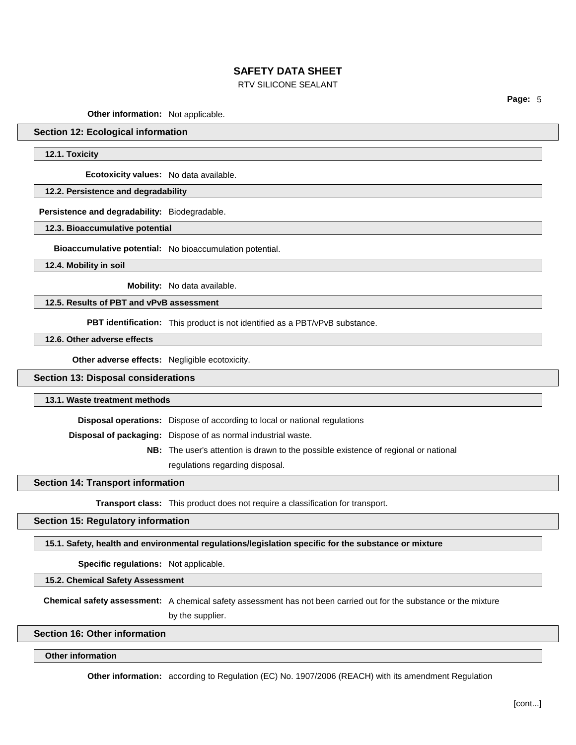### RTV SILICONE SEALANT

**Page:** 5

**Other information:** Not applicable.

## **Section 12: Ecological information**

**12.1. Toxicity**

**Ecotoxicity values:** No data available.

## **12.2. Persistence and degradability**

**Persistence and degradability:** Biodegradable.

**12.3. Bioaccumulative potential**

**Bioaccumulative potential:** No bioaccumulation potential.

**12.4. Mobility in soil**

**Mobility:** No data available.

## **12.5. Results of PBT and vPvB assessment**

**PBT identification:** This product is not identified as a PBT/vPvB substance.

**12.6. Other adverse effects**

**Other adverse effects:** Negligible ecotoxicity.

## **Section 13: Disposal considerations**

#### **13.1. Waste treatment methods**

**Disposal operations:** Dispose of according to local or national regulations

**Disposal of packaging:** Dispose of as normal industrial waste.

**NB:** The user's attention is drawn to the possible existence of regional or national

regulations regarding disposal.

## **Section 14: Transport information**

**Transport class:** This product does not require a classification for transport.

## **Section 15: Regulatory information**

**15.1. Safety, health and environmental regulations/legislation specific for the substance or mixture**

**Specific regulations:** Not applicable.

**15.2. Chemical Safety Assessment**

**Chemical safety assessment:** A chemical safety assessment has not been carried out for the substance or the mixture by the supplier.

#### **Section 16: Other information**

#### **Other information**

**Other information:** according to Regulation (EC) No. 1907/2006 (REACH) with its amendment Regulation